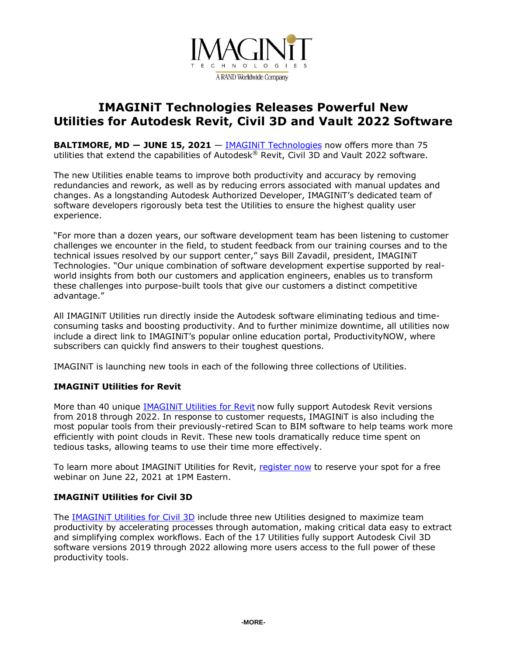

# **IMAGINiT Technologies Releases Powerful New Utilities for Autodesk Revit, Civil 3D and Vault 2022 Software**

**BALTIMORE, MD ― JUNE 15, 2021** — IMAGINiT [Technologies](https://www.imaginit.com/software/imaginit-utilities-other-products/imaginit-utilities?utm_source=dynamic&utm_medium=press-release&utm_campaign=utilities-2022) now offers more than 75 utilities that extend the capabilities of Autodesk® Revit, Civil 3D and Vault 2022 software.

The new Utilities enable teams to improve both productivity and accuracy by removing redundancies and rework, as well as by reducing errors associated with manual updates and changes. As a longstanding Autodesk Authorized Developer, IMAGINiT's dedicated team of software developers rigorously beta test the Utilities to ensure the highest quality user experience.

"For more than a dozen years, our software development team has been listening to customer challenges we encounter in the field, to student feedback from our training courses and to the technical issues resolved by our support center," says Bill Zavadil, president, IMAGINiT Technologies. "Our unique combination of software development expertise supported by realworld insights from both our customers and application engineers, enables us to transform these challenges into purpose-built tools that give our customers a distinct competitive advantage."

All IMAGINiT Utilities run directly inside the Autodesk software eliminating tedious and timeconsuming tasks and boosting productivity. And to further minimize downtime, all utilities now include a direct link to IMAGINiT's popular online education portal, ProductivityNOW, where subscribers can quickly find answers to their toughest questions.

IMAGINiT is launching new tools in each of the following three collections of Utilities.

## **IMAGINiT Utilities for Revit**

More than 40 unique [IMAGINiT](https://www.imaginit.com/software/imaginit-utilities-other-products/utilities-for-revit?utm_source=dynamic&utm_medium=press-release&utm_campaign=utilities-2022) Utilities for Revit now fully support Autodesk Revit versions from 2018 through 2022. In response to customer requests, IMAGINiT is also including the most popular tools from their previously-retired Scan to BIM software to help teams work more efficiently with point clouds in Revit. These new tools dramatically reduce time spent on tedious tasks, allowing teams to use their time more effectively.

To learn more about IMAGINIT Utilities for Revit, [register](https://register.gotowebinar.com/register/601426678103340558?source=a2u4u000000zvHZ) now to reserve your spot for a free webinar on June 22, 2021 at 1PM Eastern.

### **IMAGINiT Utilities for Civil 3D**

The [IMAGINiT](https://www.imaginit.com/software/imaginit-utilities-other-products/utilities-for-civil-3d?utm_source=dynamic&utm_medium=press-release&utm_campaign=utilities-2022) Utilities for Civil 3D include three new Utilities designed to maximize team productivity by accelerating processes through automation, making critical data easy to extract and simplifying complex workflows. Each of the 17 Utilities fully support Autodesk Civil 3D software versions 2019 through 2022 allowing more users access to the full power of these productivity tools.